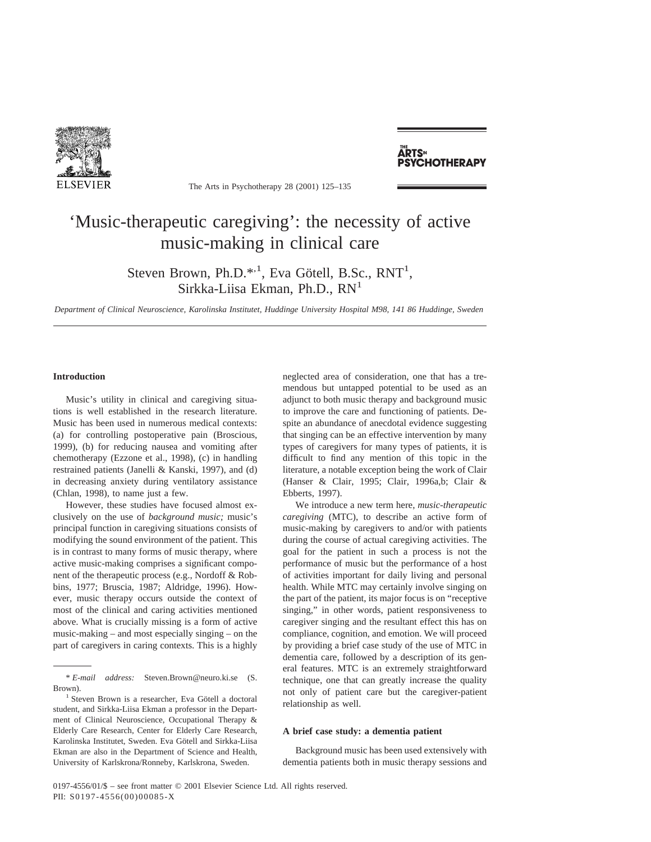

The Arts in Psychotherapy 28 (2001) 125–135

ÄRTS™ **SYCHOTHERAPY** 

# 'Music-therapeutic caregiving': the necessity of active music-making in clinical care

Steven Brown, Ph.D.\*<sup>,1</sup>, Eva Götell, B.Sc., RNT<sup>1</sup>, Sirkka-Liisa Ekman, Ph.D., RN<sup>1</sup>

*Department of Clinical Neuroscience, Karolinska Institutet, Huddinge University Hospital M98, 141 86 Huddinge, Sweden*

# **Introduction**

Music's utility in clinical and caregiving situations is well established in the research literature. Music has been used in numerous medical contexts: (a) for controlling postoperative pain (Broscious, 1999), (b) for reducing nausea and vomiting after chemotherapy (Ezzone et al., 1998), (c) in handling restrained patients (Janelli & Kanski, 1997), and (d) in decreasing anxiety during ventilatory assistance (Chlan, 1998), to name just a few.

However, these studies have focused almost exclusively on the use of *background music;* music's principal function in caregiving situations consists of modifying the sound environment of the patient. This is in contrast to many forms of music therapy, where active music-making comprises a significant component of the therapeutic process (e.g., Nordoff & Robbins, 1977; Bruscia, 1987; Aldridge, 1996). However, music therapy occurs outside the context of most of the clinical and caring activities mentioned above. What is crucially missing is a form of active music-making – and most especially singing – on the part of caregivers in caring contexts. This is a highly

\* *E-mail address:* Steven.Brown@neuro.ki.se (S. Brown).

neglected area of consideration, one that has a tremendous but untapped potential to be used as an adjunct to both music therapy and background music to improve the care and functioning of patients. Despite an abundance of anecdotal evidence suggesting that singing can be an effective intervention by many types of caregivers for many types of patients, it is difficult to find any mention of this topic in the literature, a notable exception being the work of Clair (Hanser & Clair, 1995; Clair, 1996a,b; Clair & Ebberts, 1997).

We introduce a new term here, *music-therapeutic caregiving* (MTC), to describe an active form of music-making by caregivers to and/or with patients during the course of actual caregiving activities. The goal for the patient in such a process is not the performance of music but the performance of a host of activities important for daily living and personal health. While MTC may certainly involve singing on the part of the patient, its major focus is on "receptive singing," in other words, patient responsiveness to caregiver singing and the resultant effect this has on compliance, cognition, and emotion. We will proceed by providing a brief case study of the use of MTC in dementia care, followed by a description of its general features. MTC is an extremely straightforward technique, one that can greatly increase the quality not only of patient care but the caregiver-patient relationship as well.

#### **A brief case study: a dementia patient**

Background music has been used extensively with dementia patients both in music therapy sessions and

 $1$  Steven Brown is a researcher, Eva Götell a doctoral student, and Sirkka-Liisa Ekman a professor in the Department of Clinical Neuroscience, Occupational Therapy & Elderly Care Research, Center for Elderly Care Research, Karolinska Institutet, Sweden. Eva Götell and Sirkka-Liisa Ekman are also in the Department of Science and Health, University of Karlskrona/Ronneby, Karlskrona, Sweden.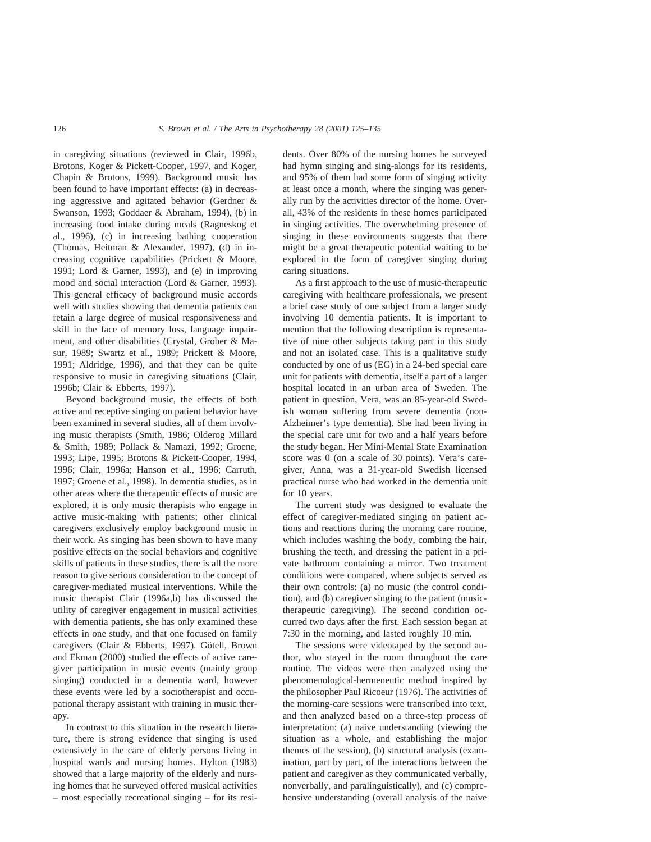in caregiving situations (reviewed in Clair, 1996b, Brotons, Koger & Pickett-Cooper, 1997, and Koger, Chapin & Brotons, 1999). Background music has been found to have important effects: (a) in decreasing aggressive and agitated behavior (Gerdner & Swanson, 1993; Goddaer & Abraham, 1994), (b) in increasing food intake during meals (Ragneskog et al., 1996), (c) in increasing bathing cooperation (Thomas, Heitman & Alexander, 1997), (d) in increasing cognitive capabilities (Prickett & Moore, 1991; Lord & Garner, 1993), and (e) in improving mood and social interaction (Lord & Garner, 1993). This general efficacy of background music accords well with studies showing that dementia patients can retain a large degree of musical responsiveness and skill in the face of memory loss, language impairment, and other disabilities (Crystal, Grober & Masur, 1989; Swartz et al., 1989; Prickett & Moore, 1991; Aldridge, 1996), and that they can be quite responsive to music in caregiving situations (Clair, 1996b; Clair & Ebberts, 1997).

Beyond background music, the effects of both active and receptive singing on patient behavior have been examined in several studies, all of them involving music therapists (Smith, 1986; Olderog Millard & Smith, 1989; Pollack & Namazi, 1992; Groene, 1993; Lipe, 1995; Brotons & Pickett-Cooper, 1994, 1996; Clair, 1996a; Hanson et al., 1996; Carruth, 1997; Groene et al., 1998). In dementia studies, as in other areas where the therapeutic effects of music are explored, it is only music therapists who engage in active music-making with patients; other clinical caregivers exclusively employ background music in their work. As singing has been shown to have many positive effects on the social behaviors and cognitive skills of patients in these studies, there is all the more reason to give serious consideration to the concept of caregiver-mediated musical interventions. While the music therapist Clair (1996a,b) has discussed the utility of caregiver engagement in musical activities with dementia patients, she has only examined these effects in one study, and that one focused on family caregivers (Clair & Ebberts, 1997). Götell, Brown and Ekman (2000) studied the effects of active caregiver participation in music events (mainly group singing) conducted in a dementia ward, however these events were led by a sociotherapist and occupational therapy assistant with training in music therapy.

In contrast to this situation in the research literature, there is strong evidence that singing is used extensively in the care of elderly persons living in hospital wards and nursing homes. Hylton (1983) showed that a large majority of the elderly and nursing homes that he surveyed offered musical activities – most especially recreational singing – for its residents. Over 80% of the nursing homes he surveyed had hymn singing and sing-alongs for its residents, and 95% of them had some form of singing activity at least once a month, where the singing was generally run by the activities director of the home. Overall, 43% of the residents in these homes participated in singing activities. The overwhelming presence of singing in these environments suggests that there might be a great therapeutic potential waiting to be explored in the form of caregiver singing during caring situations.

As a first approach to the use of music-therapeutic caregiving with healthcare professionals, we present a brief case study of one subject from a larger study involving 10 dementia patients. It is important to mention that the following description is representative of nine other subjects taking part in this study and not an isolated case. This is a qualitative study conducted by one of us (EG) in a 24-bed special care unit for patients with dementia, itself a part of a larger hospital located in an urban area of Sweden. The patient in question, Vera, was an 85-year-old Swedish woman suffering from severe dementia (non-Alzheimer's type dementia). She had been living in the special care unit for two and a half years before the study began. Her Mini-Mental State Examination score was 0 (on a scale of 30 points). Vera's caregiver, Anna, was a 31-year-old Swedish licensed practical nurse who had worked in the dementia unit for 10 years.

The current study was designed to evaluate the effect of caregiver-mediated singing on patient actions and reactions during the morning care routine, which includes washing the body, combing the hair, brushing the teeth, and dressing the patient in a private bathroom containing a mirror. Two treatment conditions were compared, where subjects served as their own controls: (a) no music (the control condition), and (b) caregiver singing to the patient (musictherapeutic caregiving). The second condition occurred two days after the first. Each session began at 7:30 in the morning, and lasted roughly 10 min.

The sessions were videotaped by the second author, who stayed in the room throughout the care routine. The videos were then analyzed using the phenomenological-hermeneutic method inspired by the philosopher Paul Ricoeur (1976). The activities of the morning-care sessions were transcribed into text, and then analyzed based on a three-step process of interpretation: (a) naive understanding (viewing the situation as a whole, and establishing the major themes of the session), (b) structural analysis (examination, part by part, of the interactions between the patient and caregiver as they communicated verbally, nonverbally, and paralinguistically), and (c) comprehensive understanding (overall analysis of the naive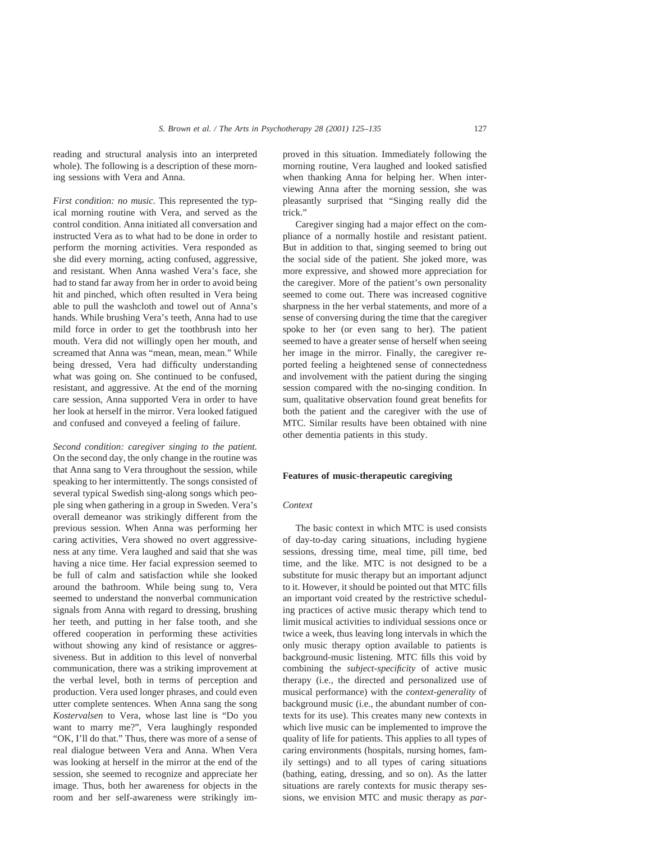reading and structural analysis into an interpreted whole). The following is a description of these morning sessions with Vera and Anna.

*First condition: no music.* This represented the typical morning routine with Vera, and served as the control condition. Anna initiated all conversation and instructed Vera as to what had to be done in order to perform the morning activities. Vera responded as she did every morning, acting confused, aggressive, and resistant. When Anna washed Vera's face, she had to stand far away from her in order to avoid being hit and pinched, which often resulted in Vera being able to pull the washcloth and towel out of Anna's hands. While brushing Vera's teeth, Anna had to use mild force in order to get the toothbrush into her mouth. Vera did not willingly open her mouth, and screamed that Anna was "mean, mean, mean." While being dressed, Vera had difficulty understanding what was going on. She continued to be confused, resistant, and aggressive. At the end of the morning care session, Anna supported Vera in order to have her look at herself in the mirror. Vera looked fatigued and confused and conveyed a feeling of failure.

*Second condition: caregiver singing to the patient.* On the second day, the only change in the routine was that Anna sang to Vera throughout the session, while speaking to her intermittently. The songs consisted of several typical Swedish sing-along songs which people sing when gathering in a group in Sweden. Vera's overall demeanor was strikingly different from the previous session. When Anna was performing her caring activities, Vera showed no overt aggressiveness at any time. Vera laughed and said that she was having a nice time. Her facial expression seemed to be full of calm and satisfaction while she looked around the bathroom. While being sung to, Vera seemed to understand the nonverbal communication signals from Anna with regard to dressing, brushing her teeth, and putting in her false tooth, and she offered cooperation in performing these activities without showing any kind of resistance or aggressiveness. But in addition to this level of nonverbal communication, there was a striking improvement at the verbal level, both in terms of perception and production. Vera used longer phrases, and could even utter complete sentences. When Anna sang the song *Kostervalsen* to Vera, whose last line is "Do you want to marry me?", Vera laughingly responded "OK, I'll do that." Thus, there was more of a sense of real dialogue between Vera and Anna. When Vera was looking at herself in the mirror at the end of the session, she seemed to recognize and appreciate her image. Thus, both her awareness for objects in the room and her self-awareness were strikingly improved in this situation. Immediately following the morning routine, Vera laughed and looked satisfied when thanking Anna for helping her. When interviewing Anna after the morning session, she was pleasantly surprised that "Singing really did the trick."

Caregiver singing had a major effect on the compliance of a normally hostile and resistant patient. But in addition to that, singing seemed to bring out the social side of the patient. She joked more, was more expressive, and showed more appreciation for the caregiver. More of the patient's own personality seemed to come out. There was increased cognitive sharpness in the her verbal statements, and more of a sense of conversing during the time that the caregiver spoke to her (or even sang to her). The patient seemed to have a greater sense of herself when seeing her image in the mirror. Finally, the caregiver reported feeling a heightened sense of connectedness and involvement with the patient during the singing session compared with the no-singing condition. In sum, qualitative observation found great benefits for both the patient and the caregiver with the use of MTC. Similar results have been obtained with nine other dementia patients in this study.

## **Features of music-therapeutic caregiving**

## *Context*

The basic context in which MTC is used consists of day-to-day caring situations, including hygiene sessions, dressing time, meal time, pill time, bed time, and the like. MTC is not designed to be a substitute for music therapy but an important adjunct to it. However, it should be pointed out that MTC fills an important void created by the restrictive scheduling practices of active music therapy which tend to limit musical activities to individual sessions once or twice a week, thus leaving long intervals in which the only music therapy option available to patients is background-music listening. MTC fills this void by combining the *subject-specificity* of active music therapy (i.e., the directed and personalized use of musical performance) with the *context-generality* of background music (i.e., the abundant number of contexts for its use). This creates many new contexts in which live music can be implemented to improve the quality of life for patients. This applies to all types of caring environments (hospitals, nursing homes, family settings) and to all types of caring situations (bathing, eating, dressing, and so on). As the latter situations are rarely contexts for music therapy sessions, we envision MTC and music therapy as *par-*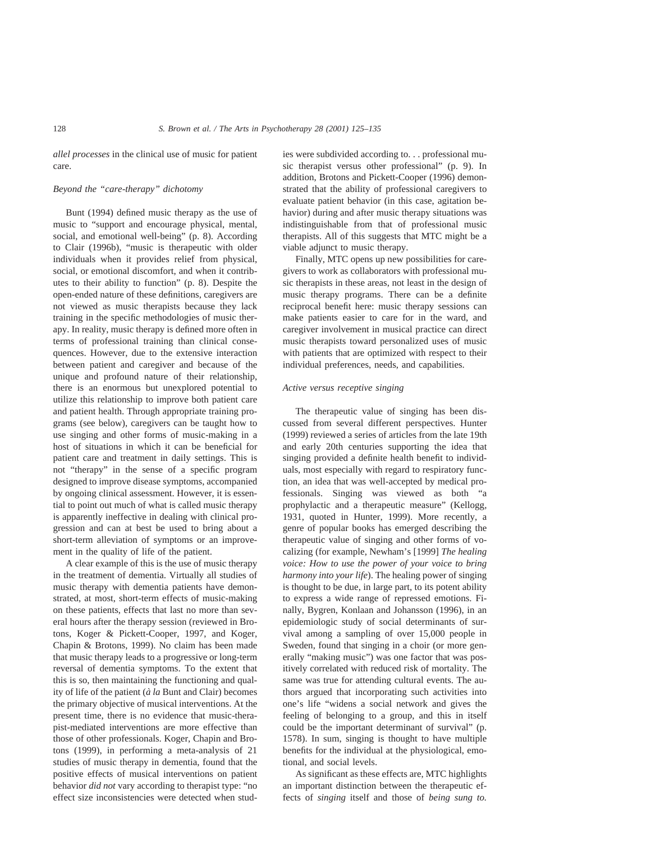*allel processes* in the clinical use of music for patient care.

# *Beyond the "care-therapy" dichotomy*

Bunt (1994) defined music therapy as the use of music to "support and encourage physical, mental, social, and emotional well-being" (p. 8). According to Clair (1996b), "music is therapeutic with older individuals when it provides relief from physical, social, or emotional discomfort, and when it contributes to their ability to function" (p. 8). Despite the open-ended nature of these definitions, caregivers are not viewed as music therapists because they lack training in the specific methodologies of music therapy. In reality, music therapy is defined more often in terms of professional training than clinical consequences. However, due to the extensive interaction between patient and caregiver and because of the unique and profound nature of their relationship, there is an enormous but unexplored potential to utilize this relationship to improve both patient care and patient health. Through appropriate training programs (see below), caregivers can be taught how to use singing and other forms of music-making in a host of situations in which it can be beneficial for patient care and treatment in daily settings. This is not "therapy" in the sense of a specific program designed to improve disease symptoms, accompanied by ongoing clinical assessment. However, it is essential to point out much of what is called music therapy is apparently ineffective in dealing with clinical progression and can at best be used to bring about a short-term alleviation of symptoms or an improvement in the quality of life of the patient.

A clear example of this is the use of music therapy in the treatment of dementia. Virtually all studies of music therapy with dementia patients have demonstrated, at most, short-term effects of music-making on these patients, effects that last no more than several hours after the therapy session (reviewed in Brotons, Koger & Pickett-Cooper, 1997, and Koger, Chapin & Brotons, 1999). No claim has been made that music therapy leads to a progressive or long-term reversal of dementia symptoms. To the extent that this is so, then maintaining the functioning and quality of life of the patient (*a` la* Bunt and Clair) becomes the primary objective of musical interventions. At the present time, there is no evidence that music-therapist-mediated interventions are more effective than those of other professionals. Koger, Chapin and Brotons (1999), in performing a meta-analysis of 21 studies of music therapy in dementia, found that the positive effects of musical interventions on patient behavior *did not* vary according to therapist type: "no effect size inconsistencies were detected when studies were subdivided according to. . . professional music therapist versus other professional" (p. 9). In addition, Brotons and Pickett-Cooper (1996) demonstrated that the ability of professional caregivers to evaluate patient behavior (in this case, agitation behavior) during and after music therapy situations was indistinguishable from that of professional music therapists. All of this suggests that MTC might be a viable adjunct to music therapy.

Finally, MTC opens up new possibilities for caregivers to work as collaborators with professional music therapists in these areas, not least in the design of music therapy programs. There can be a definite reciprocal benefit here: music therapy sessions can make patients easier to care for in the ward, and caregiver involvement in musical practice can direct music therapists toward personalized uses of music with patients that are optimized with respect to their individual preferences, needs, and capabilities.

#### *Active versus receptive singing*

The therapeutic value of singing has been discussed from several different perspectives. Hunter (1999) reviewed a series of articles from the late 19th and early 20th centuries supporting the idea that singing provided a definite health benefit to individuals, most especially with regard to respiratory function, an idea that was well-accepted by medical professionals. Singing was viewed as both "a prophylactic and a therapeutic measure" (Kellogg, 1931, quoted in Hunter, 1999). More recently, a genre of popular books has emerged describing the therapeutic value of singing and other forms of vocalizing (for example, Newham's [1999] *The healing voice: How to use the power of your voice to bring harmony into your life*). The healing power of singing is thought to be due, in large part, to its potent ability to express a wide range of repressed emotions. Finally, Bygren, Konlaan and Johansson (1996), in an epidemiologic study of social determinants of survival among a sampling of over 15,000 people in Sweden, found that singing in a choir (or more generally "making music") was one factor that was positively correlated with reduced risk of mortality. The same was true for attending cultural events. The authors argued that incorporating such activities into one's life "widens a social network and gives the feeling of belonging to a group, and this in itself could be the important determinant of survival" (p. 1578). In sum, singing is thought to have multiple benefits for the individual at the physiological, emotional, and social levels.

As significant as these effects are, MTC highlights an important distinction between the therapeutic effects of *singing* itself and those of *being sung to.*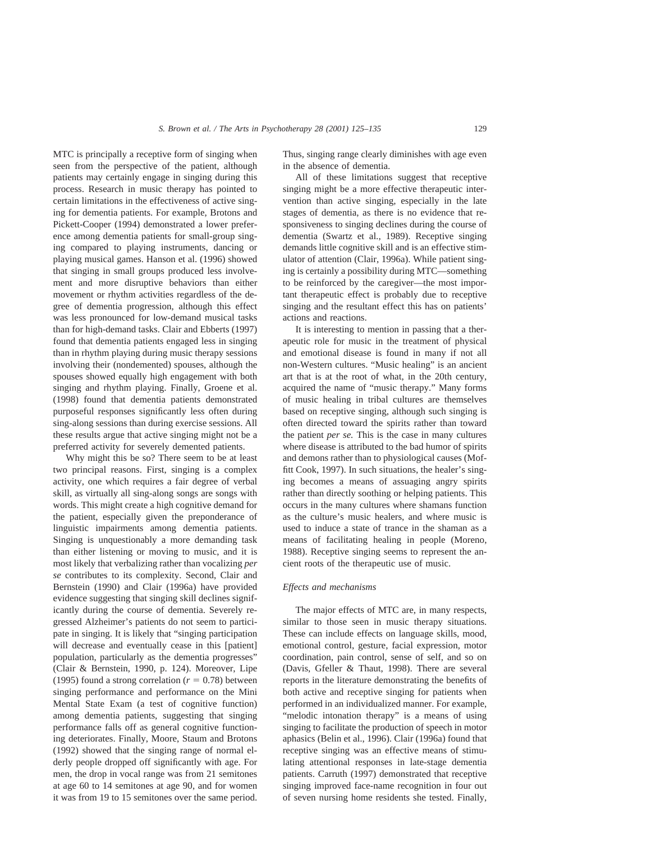MTC is principally a receptive form of singing when seen from the perspective of the patient, although patients may certainly engage in singing during this process. Research in music therapy has pointed to certain limitations in the effectiveness of active singing for dementia patients. For example, Brotons and Pickett-Cooper (1994) demonstrated a lower preference among dementia patients for small-group singing compared to playing instruments, dancing or playing musical games. Hanson et al. (1996) showed that singing in small groups produced less involvement and more disruptive behaviors than either movement or rhythm activities regardless of the degree of dementia progression, although this effect was less pronounced for low-demand musical tasks than for high-demand tasks. Clair and Ebberts (1997) found that dementia patients engaged less in singing than in rhythm playing during music therapy sessions involving their (nondemented) spouses, although the spouses showed equally high engagement with both singing and rhythm playing. Finally, Groene et al. (1998) found that dementia patients demonstrated purposeful responses significantly less often during sing-along sessions than during exercise sessions. All these results argue that active singing might not be a preferred activity for severely demented patients.

Why might this be so? There seem to be at least two principal reasons. First, singing is a complex activity, one which requires a fair degree of verbal skill, as virtually all sing-along songs are songs with words. This might create a high cognitive demand for the patient, especially given the preponderance of linguistic impairments among dementia patients. Singing is unquestionably a more demanding task than either listening or moving to music, and it is most likely that verbalizing rather than vocalizing *per se* contributes to its complexity. Second, Clair and Bernstein (1990) and Clair (1996a) have provided evidence suggesting that singing skill declines significantly during the course of dementia. Severely regressed Alzheimer's patients do not seem to participate in singing. It is likely that "singing participation will decrease and eventually cease in this [patient] population, particularly as the dementia progresses" (Clair & Bernstein, 1990, p. 124). Moreover, Lipe (1995) found a strong correlation  $(r = 0.78)$  between singing performance and performance on the Mini Mental State Exam (a test of cognitive function) among dementia patients, suggesting that singing performance falls off as general cognitive functioning deteriorates. Finally, Moore, Staum and Brotons (1992) showed that the singing range of normal elderly people dropped off significantly with age. For men, the drop in vocal range was from 21 semitones at age 60 to 14 semitones at age 90, and for women it was from 19 to 15 semitones over the same period.

Thus, singing range clearly diminishes with age even in the absence of dementia.

All of these limitations suggest that receptive singing might be a more effective therapeutic intervention than active singing, especially in the late stages of dementia, as there is no evidence that responsiveness to singing declines during the course of dementia (Swartz et al., 1989). Receptive singing demands little cognitive skill and is an effective stimulator of attention (Clair, 1996a). While patient singing is certainly a possibility during MTC—something to be reinforced by the caregiver—the most important therapeutic effect is probably due to receptive singing and the resultant effect this has on patients' actions and reactions.

It is interesting to mention in passing that a therapeutic role for music in the treatment of physical and emotional disease is found in many if not all non-Western cultures. "Music healing" is an ancient art that is at the root of what, in the 20th century, acquired the name of "music therapy." Many forms of music healing in tribal cultures are themselves based on receptive singing, although such singing is often directed toward the spirits rather than toward the patient *per se.* This is the case in many cultures where disease is attributed to the bad humor of spirits and demons rather than to physiological causes (Moffitt Cook, 1997). In such situations, the healer's singing becomes a means of assuaging angry spirits rather than directly soothing or helping patients. This occurs in the many cultures where shamans function as the culture's music healers, and where music is used to induce a state of trance in the shaman as a means of facilitating healing in people (Moreno, 1988). Receptive singing seems to represent the ancient roots of the therapeutic use of music.

# *Effects and mechanisms*

The major effects of MTC are, in many respects, similar to those seen in music therapy situations. These can include effects on language skills, mood, emotional control, gesture, facial expression, motor coordination, pain control, sense of self, and so on (Davis, Gfeller & Thaut, 1998). There are several reports in the literature demonstrating the benefits of both active and receptive singing for patients when performed in an individualized manner. For example, "melodic intonation therapy" is a means of using singing to facilitate the production of speech in motor aphasics (Belin et al., 1996). Clair (1996a) found that receptive singing was an effective means of stimulating attentional responses in late-stage dementia patients. Carruth (1997) demonstrated that receptive singing improved face-name recognition in four out of seven nursing home residents she tested. Finally,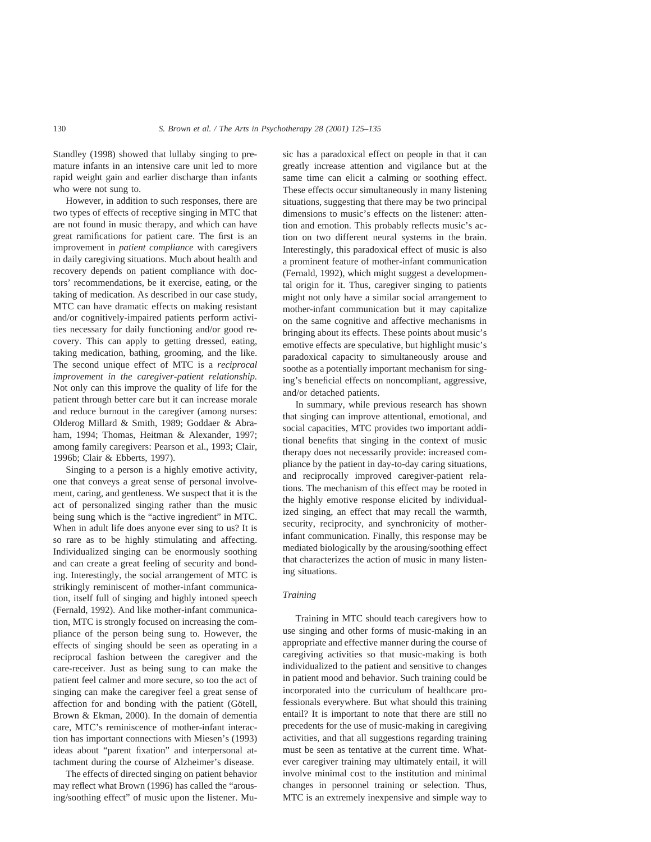Standley (1998) showed that lullaby singing to premature infants in an intensive care unit led to more rapid weight gain and earlier discharge than infants who were not sung to.

However, in addition to such responses, there are two types of effects of receptive singing in MTC that are not found in music therapy, and which can have great ramifications for patient care. The first is an improvement in *patient compliance* with caregivers in daily caregiving situations. Much about health and recovery depends on patient compliance with doctors' recommendations, be it exercise, eating, or the taking of medication. As described in our case study, MTC can have dramatic effects on making resistant and/or cognitively-impaired patients perform activities necessary for daily functioning and/or good recovery. This can apply to getting dressed, eating, taking medication, bathing, grooming, and the like. The second unique effect of MTC is a *reciprocal improvement in the caregiver-patient relationship.* Not only can this improve the quality of life for the patient through better care but it can increase morale and reduce burnout in the caregiver (among nurses: Olderog Millard & Smith, 1989; Goddaer & Abraham, 1994; Thomas, Heitman & Alexander, 1997; among family caregivers: Pearson et al., 1993; Clair, 1996b; Clair & Ebberts, 1997).

Singing to a person is a highly emotive activity, one that conveys a great sense of personal involvement, caring, and gentleness. We suspect that it is the act of personalized singing rather than the music being sung which is the "active ingredient" in MTC. When in adult life does anyone ever sing to us? It is so rare as to be highly stimulating and affecting. Individualized singing can be enormously soothing and can create a great feeling of security and bonding. Interestingly, the social arrangement of MTC is strikingly reminiscent of mother-infant communication, itself full of singing and highly intoned speech (Fernald, 1992). And like mother-infant communication, MTC is strongly focused on increasing the compliance of the person being sung to. However, the effects of singing should be seen as operating in a reciprocal fashion between the caregiver and the care-receiver. Just as being sung to can make the patient feel calmer and more secure, so too the act of singing can make the caregiver feel a great sense of affection for and bonding with the patient (Götell, Brown & Ekman, 2000). In the domain of dementia care, MTC's reminiscence of mother-infant interaction has important connections with Miesen's (1993) ideas about "parent fixation" and interpersonal attachment during the course of Alzheimer's disease.

The effects of directed singing on patient behavior may reflect what Brown (1996) has called the "arousing/soothing effect" of music upon the listener. Music has a paradoxical effect on people in that it can greatly increase attention and vigilance but at the same time can elicit a calming or soothing effect. These effects occur simultaneously in many listening situations, suggesting that there may be two principal dimensions to music's effects on the listener: attention and emotion. This probably reflects music's action on two different neural systems in the brain. Interestingly, this paradoxical effect of music is also a prominent feature of mother-infant communication (Fernald, 1992), which might suggest a developmental origin for it. Thus, caregiver singing to patients might not only have a similar social arrangement to mother-infant communication but it may capitalize on the same cognitive and affective mechanisms in bringing about its effects. These points about music's emotive effects are speculative, but highlight music's paradoxical capacity to simultaneously arouse and soothe as a potentially important mechanism for singing's beneficial effects on noncompliant, aggressive, and/or detached patients.

In summary, while previous research has shown that singing can improve attentional, emotional, and social capacities, MTC provides two important additional benefits that singing in the context of music therapy does not necessarily provide: increased compliance by the patient in day-to-day caring situations, and reciprocally improved caregiver-patient relations. The mechanism of this effect may be rooted in the highly emotive response elicited by individualized singing, an effect that may recall the warmth, security, reciprocity, and synchronicity of motherinfant communication. Finally, this response may be mediated biologically by the arousing/soothing effect that characterizes the action of music in many listening situations.

#### *Training*

Training in MTC should teach caregivers how to use singing and other forms of music-making in an appropriate and effective manner during the course of caregiving activities so that music-making is both individualized to the patient and sensitive to changes in patient mood and behavior. Such training could be incorporated into the curriculum of healthcare professionals everywhere. But what should this training entail? It is important to note that there are still no precedents for the use of music-making in caregiving activities, and that all suggestions regarding training must be seen as tentative at the current time. Whatever caregiver training may ultimately entail, it will involve minimal cost to the institution and minimal changes in personnel training or selection. Thus, MTC is an extremely inexpensive and simple way to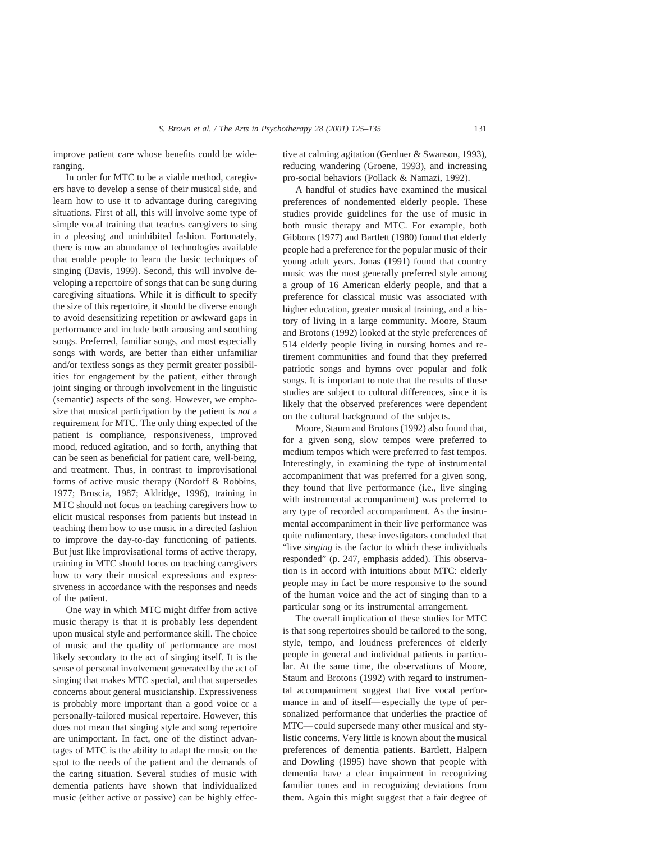improve patient care whose benefits could be wideranging.

In order for MTC to be a viable method, caregivers have to develop a sense of their musical side, and learn how to use it to advantage during caregiving situations. First of all, this will involve some type of simple vocal training that teaches caregivers to sing in a pleasing and uninhibited fashion. Fortunately, there is now an abundance of technologies available that enable people to learn the basic techniques of singing (Davis, 1999). Second, this will involve developing a repertoire of songs that can be sung during caregiving situations. While it is difficult to specify the size of this repertoire, it should be diverse enough to avoid desensitizing repetition or awkward gaps in performance and include both arousing and soothing songs. Preferred, familiar songs, and most especially songs with words, are better than either unfamiliar and/or textless songs as they permit greater possibilities for engagement by the patient, either through joint singing or through involvement in the linguistic (semantic) aspects of the song. However, we emphasize that musical participation by the patient is *not* a requirement for MTC. The only thing expected of the patient is compliance, responsiveness, improved mood, reduced agitation, and so forth, anything that can be seen as beneficial for patient care, well-being, and treatment. Thus, in contrast to improvisational forms of active music therapy (Nordoff & Robbins, 1977; Bruscia, 1987; Aldridge, 1996), training in MTC should not focus on teaching caregivers how to elicit musical responses from patients but instead in teaching them how to use music in a directed fashion to improve the day-to-day functioning of patients. But just like improvisational forms of active therapy, training in MTC should focus on teaching caregivers how to vary their musical expressions and expressiveness in accordance with the responses and needs of the patient.

One way in which MTC might differ from active music therapy is that it is probably less dependent upon musical style and performance skill. The choice of music and the quality of performance are most likely secondary to the act of singing itself. It is the sense of personal involvement generated by the act of singing that makes MTC special, and that supersedes concerns about general musicianship. Expressiveness is probably more important than a good voice or a personally-tailored musical repertoire. However, this does not mean that singing style and song repertoire are unimportant. In fact, one of the distinct advantages of MTC is the ability to adapt the music on the spot to the needs of the patient and the demands of the caring situation. Several studies of music with dementia patients have shown that individualized music (either active or passive) can be highly effective at calming agitation (Gerdner & Swanson, 1993), reducing wandering (Groene, 1993), and increasing pro-social behaviors (Pollack & Namazi, 1992).

A handful of studies have examined the musical preferences of nondemented elderly people. These studies provide guidelines for the use of music in both music therapy and MTC. For example, both Gibbons (1977) and Bartlett (1980) found that elderly people had a preference for the popular music of their young adult years. Jonas (1991) found that country music was the most generally preferred style among a group of 16 American elderly people, and that a preference for classical music was associated with higher education, greater musical training, and a history of living in a large community. Moore, Staum and Brotons (1992) looked at the style preferences of 514 elderly people living in nursing homes and retirement communities and found that they preferred patriotic songs and hymns over popular and folk songs. It is important to note that the results of these studies are subject to cultural differences, since it is likely that the observed preferences were dependent on the cultural background of the subjects.

Moore, Staum and Brotons (1992) also found that, for a given song, slow tempos were preferred to medium tempos which were preferred to fast tempos. Interestingly, in examining the type of instrumental accompaniment that was preferred for a given song, they found that live performance (i.e., live singing with instrumental accompaniment) was preferred to any type of recorded accompaniment. As the instrumental accompaniment in their live performance was quite rudimentary, these investigators concluded that "live *singing* is the factor to which these individuals responded" (p. 247, emphasis added). This observation is in accord with intuitions about MTC: elderly people may in fact be more responsive to the sound of the human voice and the act of singing than to a particular song or its instrumental arrangement.

The overall implication of these studies for MTC is that song repertoires should be tailored to the song, style, tempo, and loudness preferences of elderly people in general and individual patients in particular. At the same time, the observations of Moore, Staum and Brotons (1992) with regard to instrumental accompaniment suggest that live vocal performance in and of itself—especially the type of personalized performance that underlies the practice of MTC—could supersede many other musical and stylistic concerns. Very little is known about the musical preferences of dementia patients. Bartlett, Halpern and Dowling (1995) have shown that people with dementia have a clear impairment in recognizing familiar tunes and in recognizing deviations from them. Again this might suggest that a fair degree of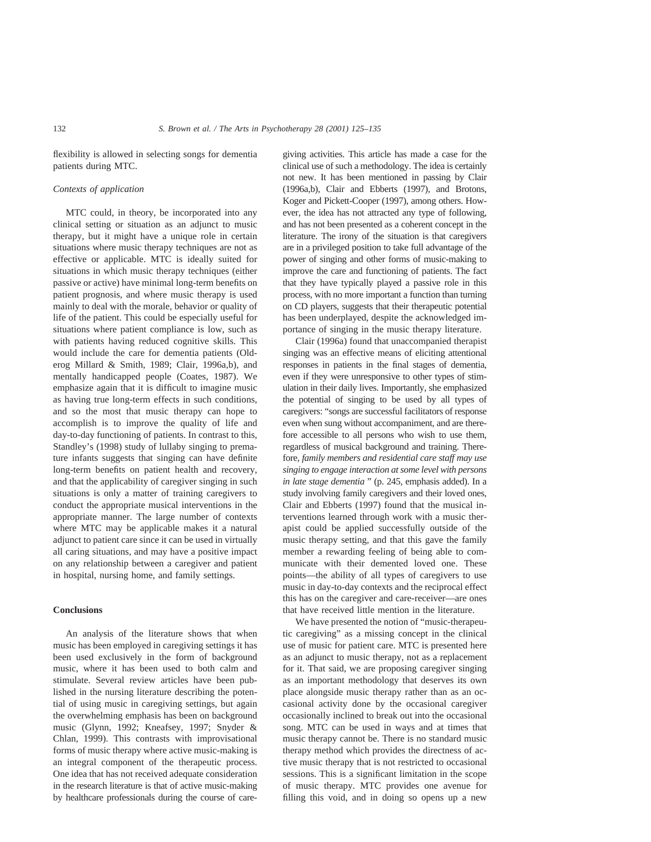flexibility is allowed in selecting songs for dementia patients during MTC.

## *Contexts of application*

MTC could, in theory, be incorporated into any clinical setting or situation as an adjunct to music therapy, but it might have a unique role in certain situations where music therapy techniques are not as effective or applicable. MTC is ideally suited for situations in which music therapy techniques (either passive or active) have minimal long-term benefits on patient prognosis, and where music therapy is used mainly to deal with the morale, behavior or quality of life of the patient. This could be especially useful for situations where patient compliance is low, such as with patients having reduced cognitive skills. This would include the care for dementia patients (Olderog Millard & Smith, 1989; Clair, 1996a,b), and mentally handicapped people (Coates, 1987). We emphasize again that it is difficult to imagine music as having true long-term effects in such conditions, and so the most that music therapy can hope to accomplish is to improve the quality of life and day-to-day functioning of patients. In contrast to this, Standley's (1998) study of lullaby singing to premature infants suggests that singing can have definite long-term benefits on patient health and recovery, and that the applicability of caregiver singing in such situations is only a matter of training caregivers to conduct the appropriate musical interventions in the appropriate manner. The large number of contexts where MTC may be applicable makes it a natural adjunct to patient care since it can be used in virtually all caring situations, and may have a positive impact on any relationship between a caregiver and patient in hospital, nursing home, and family settings.

# **Conclusions**

An analysis of the literature shows that when music has been employed in caregiving settings it has been used exclusively in the form of background music, where it has been used to both calm and stimulate. Several review articles have been published in the nursing literature describing the potential of using music in caregiving settings, but again the overwhelming emphasis has been on background music (Glynn, 1992; Kneafsey, 1997; Snyder & Chlan, 1999). This contrasts with improvisational forms of music therapy where active music-making is an integral component of the therapeutic process. One idea that has not received adequate consideration in the research literature is that of active music-making by healthcare professionals during the course of caregiving activities. This article has made a case for the clinical use of such a methodology. The idea is certainly not new. It has been mentioned in passing by Clair (1996a,b), Clair and Ebberts (1997), and Brotons, Koger and Pickett-Cooper (1997), among others. However, the idea has not attracted any type of following, and has not been presented as a coherent concept in the literature. The irony of the situation is that caregivers are in a privileged position to take full advantage of the power of singing and other forms of music-making to improve the care and functioning of patients. The fact that they have typically played a passive role in this process, with no more important a function than turning on CD players, suggests that their therapeutic potential has been underplayed, despite the acknowledged importance of singing in the music therapy literature.

Clair (1996a) found that unaccompanied therapist singing was an effective means of eliciting attentional responses in patients in the final stages of dementia, even if they were unresponsive to other types of stimulation in their daily lives. Importantly, she emphasized the potential of singing to be used by all types of caregivers: "songs are successful facilitators of response even when sung without accompaniment, and are therefore accessible to all persons who wish to use them, regardless of musical background and training. Therefore, *family members and residential care staff may use singing to engage interaction at some level with persons in late stage dementia* " (p. 245, emphasis added). In a study involving family caregivers and their loved ones, Clair and Ebberts (1997) found that the musical interventions learned through work with a music therapist could be applied successfully outside of the music therapy setting, and that this gave the family member a rewarding feeling of being able to communicate with their demented loved one. These points—the ability of all types of caregivers to use music in day-to-day contexts and the reciprocal effect this has on the caregiver and care-receiver—are ones that have received little mention in the literature.

We have presented the notion of "music-therapeutic caregiving" as a missing concept in the clinical use of music for patient care. MTC is presented here as an adjunct to music therapy, not as a replacement for it. That said, we are proposing caregiver singing as an important methodology that deserves its own place alongside music therapy rather than as an occasional activity done by the occasional caregiver occasionally inclined to break out into the occasional song. MTC can be used in ways and at times that music therapy cannot be. There is no standard music therapy method which provides the directness of active music therapy that is not restricted to occasional sessions. This is a significant limitation in the scope of music therapy. MTC provides one avenue for filling this void, and in doing so opens up a new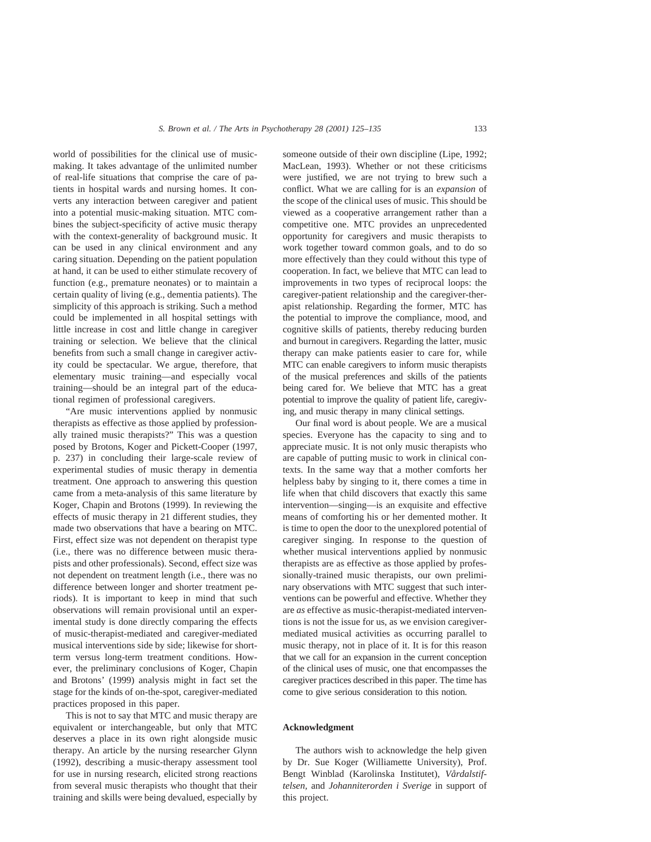world of possibilities for the clinical use of musicmaking. It takes advantage of the unlimited number of real-life situations that comprise the care of patients in hospital wards and nursing homes. It converts any interaction between caregiver and patient into a potential music-making situation. MTC combines the subject-specificity of active music therapy with the context-generality of background music. It can be used in any clinical environment and any caring situation. Depending on the patient population at hand, it can be used to either stimulate recovery of function (e.g., premature neonates) or to maintain a certain quality of living (e.g., dementia patients). The simplicity of this approach is striking. Such a method could be implemented in all hospital settings with little increase in cost and little change in caregiver training or selection. We believe that the clinical benefits from such a small change in caregiver activity could be spectacular. We argue, therefore, that elementary music training—and especially vocal training—should be an integral part of the educational regimen of professional caregivers.

"Are music interventions applied by nonmusic therapists as effective as those applied by professionally trained music therapists?" This was a question posed by Brotons, Koger and Pickett-Cooper (1997, p. 237) in concluding their large-scale review of experimental studies of music therapy in dementia treatment. One approach to answering this question came from a meta-analysis of this same literature by Koger, Chapin and Brotons (1999). In reviewing the effects of music therapy in 21 different studies, they made two observations that have a bearing on MTC. First, effect size was not dependent on therapist type (i.e., there was no difference between music therapists and other professionals). Second, effect size was not dependent on treatment length (i.e., there was no difference between longer and shorter treatment periods). It is important to keep in mind that such observations will remain provisional until an experimental study is done directly comparing the effects of music-therapist-mediated and caregiver-mediated musical interventions side by side; likewise for shortterm versus long-term treatment conditions. However, the preliminary conclusions of Koger, Chapin and Brotons' (1999) analysis might in fact set the stage for the kinds of on-the-spot, caregiver-mediated practices proposed in this paper.

This is not to say that MTC and music therapy are equivalent or interchangeable, but only that MTC deserves a place in its own right alongside music therapy. An article by the nursing researcher Glynn (1992), describing a music-therapy assessment tool for use in nursing research, elicited strong reactions from several music therapists who thought that their training and skills were being devalued, especially by someone outside of their own discipline (Lipe, 1992; MacLean, 1993). Whether or not these criticisms were justified, we are not trying to brew such a conflict. What we are calling for is an *expansion* of the scope of the clinical uses of music. This should be viewed as a cooperative arrangement rather than a competitive one. MTC provides an unprecedented opportunity for caregivers and music therapists to work together toward common goals, and to do so more effectively than they could without this type of cooperation. In fact, we believe that MTC can lead to improvements in two types of reciprocal loops: the caregiver-patient relationship and the caregiver-therapist relationship. Regarding the former, MTC has the potential to improve the compliance, mood, and cognitive skills of patients, thereby reducing burden and burnout in caregivers. Regarding the latter, music therapy can make patients easier to care for, while MTC can enable caregivers to inform music therapists of the musical preferences and skills of the patients being cared for. We believe that MTC has a great potential to improve the quality of patient life, caregiving, and music therapy in many clinical settings.

Our final word is about people. We are a musical species. Everyone has the capacity to sing and to appreciate music. It is not only music therapists who are capable of putting music to work in clinical contexts. In the same way that a mother comforts her helpless baby by singing to it, there comes a time in life when that child discovers that exactly this same intervention—singing—is an exquisite and effective means of comforting his or her demented mother. It is time to open the door to the unexplored potential of caregiver singing. In response to the question of whether musical interventions applied by nonmusic therapists are as effective as those applied by professionally-trained music therapists, our own preliminary observations with MTC suggest that such interventions can be powerful and effective. Whether they are *as* effective as music-therapist-mediated interventions is not the issue for us, as we envision caregivermediated musical activities as occurring parallel to music therapy, not in place of it. It is for this reason that we call for an expansion in the current conception of the clinical uses of music, one that encompasses the caregiver practices described in this paper. The time has come to give serious consideration to this notion.

## **Acknowledgment**

The authors wish to acknowledge the help given by Dr. Sue Koger (Williamette University), Prof. Bengt Winblad (Karolinska Institutet), *Vårdalstiftelsen,* and *Johanniterorden i Sverige* in support of this project.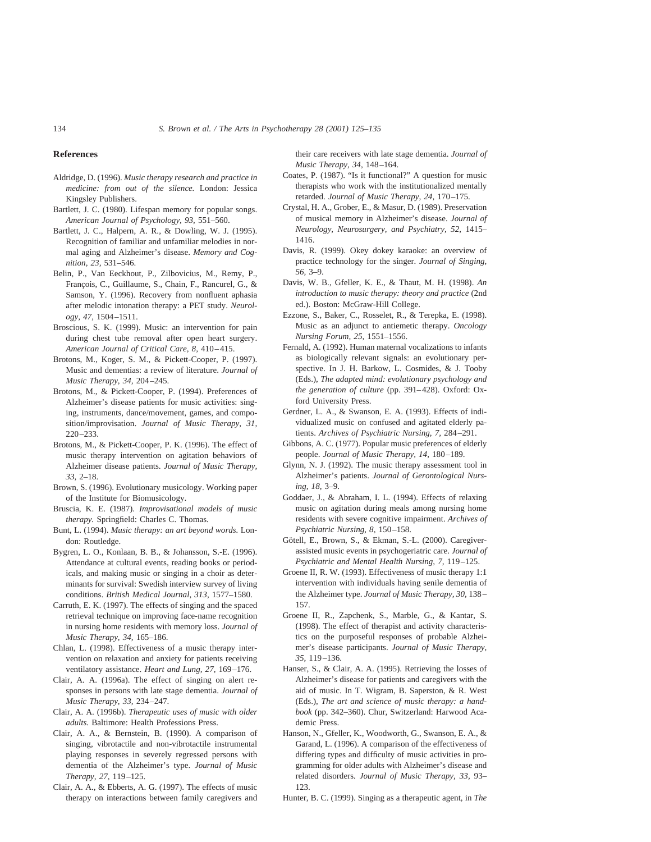### **References**

- Aldridge, D. (1996). *Music therapy research and practice in medicine: from out of the silence.* London: Jessica Kingsley Publishers.
- Bartlett, J. C. (1980). Lifespan memory for popular songs. *American Journal of Psychology, 93,* 551–560.
- Bartlett, J. C., Halpern, A. R., & Dowling, W. J. (1995). Recognition of familiar and unfamiliar melodies in normal aging and Alzheimer's disease. *Memory and Cognition, 23,* 531–546.
- Belin, P., Van Eeckhout, P., Zilbovicius, M., Remy, P., François, C., Guillaume, S., Chain, F., Rancurel, G., & Samson, Y. (1996). Recovery from nonfluent aphasia after melodic intonation therapy: a PET study. *Neurology, 47,* 1504–1511.
- Broscious, S. K. (1999). Music: an intervention for pain during chest tube removal after open heart surgery. *American Journal of Critical Care, 8,* 410–415.
- Brotons, M., Koger, S. M., & Pickett-Cooper, P. (1997). Music and dementias: a review of literature. *Journal of Music Therapy, 34,* 204–245.
- Brotons, M., & Pickett-Cooper, P. (1994). Preferences of Alzheimer's disease patients for music activities: singing, instruments, dance/movement, games, and composition/improvisation. *Journal of Music Therapy, 31,* 220–233.
- Brotons, M., & Pickett-Cooper, P. K. (1996). The effect of music therapy intervention on agitation behaviors of Alzheimer disease patients. *Journal of Music Therapy, 33,* 2–18.
- Brown, S. (1996). Evolutionary musicology. Working paper of the Institute for Biomusicology.
- Bruscia, K. E. (1987). *Improvisational models of music therapy.* Springfield: Charles C. Thomas.
- Bunt, L. (1994). *Music therapy: an art beyond words.* London: Routledge.
- Bygren, L. O., Konlaan, B. B., & Johansson, S.-E. (1996). Attendance at cultural events, reading books or periodicals, and making music or singing in a choir as determinants for survival: Swedish interview survey of living conditions. *British Medical Journal, 313,* 1577–1580.
- Carruth, E. K. (1997). The effects of singing and the spaced retrieval technique on improving face-name recognition in nursing home residents with memory loss. *Journal of Music Therapy, 34,* 165–186.
- Chlan, L. (1998). Effectiveness of a music therapy intervention on relaxation and anxiety for patients receiving ventilatory assistance. *Heart and Lung, 27,* 169–176.
- Clair, A. A. (1996a). The effect of singing on alert responses in persons with late stage dementia. *Journal of Music Therapy, 33,* 234–247.
- Clair, A. A. (1996b). *Therapeutic uses of music with older adults.* Baltimore: Health Professions Press.
- Clair, A. A., & Bernstein, B. (1990). A comparison of singing, vibrotactile and non-vibrotactile instrumental playing responses in severely regressed persons with dementia of the Alzheimer's type. *Journal of Music Therapy, 27,* 119–125.
- Clair, A. A., & Ebberts, A. G. (1997). The effects of music therapy on interactions between family caregivers and

their care receivers with late stage dementia. *Journal of Music Therapy, 34,* 148–164.

- Coates, P. (1987). "Is it functional?" A question for music therapists who work with the institutionalized mentally retarded. *Journal of Music Therapy, 24,* 170–175.
- Crystal, H. A., Grober, E., & Masur, D. (1989). Preservation of musical memory in Alzheimer's disease. *Journal of Neurology, Neurosurgery, and Psychiatry, 52,* 1415– 1416.
- Davis, R. (1999). Okey dokey karaoke: an overview of practice technology for the singer. *Journal of Singing, 56,* 3–9.
- Davis, W. B., Gfeller, K. E., & Thaut, M. H. (1998). *An introduction to music therapy: theory and practice* (2nd ed.). Boston: McGraw-Hill College.
- Ezzone, S., Baker, C., Rosselet, R., & Terepka, E. (1998). Music as an adjunct to antiemetic therapy. *Oncology Nursing Forum, 25,* 1551–1556.
- Fernald, A. (1992). Human maternal vocalizations to infants as biologically relevant signals: an evolutionary perspective. In J. H. Barkow, L. Cosmides, & J. Tooby (Eds.), *The adapted mind: evolutionary psychology and the generation of culture* (pp. 391–428). Oxford: Oxford University Press.
- Gerdner, L. A., & Swanson, E. A. (1993). Effects of individualized music on confused and agitated elderly patients. *Archives of Psychiatric Nursing, 7,* 284–291.
- Gibbons, A. C. (1977). Popular music preferences of elderly people. *Journal of Music Therapy, 14,* 180–189.
- Glynn, N. J. (1992). The music therapy assessment tool in Alzheimer's patients. *Journal of Gerontological Nursing, 18,* 3–9.
- Goddaer, J., & Abraham, I. L. (1994). Effects of relaxing music on agitation during meals among nursing home residents with severe cognitive impairment. *Archives of Psychiatric Nursing, 8,* 150–158.
- Götell, E., Brown, S., & Ekman, S.-L. (2000). Caregiverassisted music events in psychogeriatric care. *Journal of Psychiatric and Mental Health Nursing, 7,* 119–125.
- Groene II, R. W. (1993). Effectiveness of music therapy 1:1 intervention with individuals having senile dementia of the Alzheimer type. *Journal of Music Therapy, 30,* 138– 157.
- Groene II, R., Zapchenk, S., Marble, G., & Kantar, S. (1998). The effect of therapist and activity characteristics on the purposeful responses of probable Alzheimer's disease participants. *Journal of Music Therapy, 35,* 119–136.
- Hanser, S., & Clair, A. A. (1995). Retrieving the losses of Alzheimer's disease for patients and caregivers with the aid of music. In T. Wigram, B. Saperston, & R. West (Eds.), *The art and science of music therapy: a handbook* (pp. 342–360). Chur, Switzerland: Harwood Academic Press.
- Hanson, N., Gfeller, K., Woodworth, G., Swanson, E. A., & Garand, L. (1996). A comparison of the effectiveness of differing types and difficulty of music activities in programming for older adults with Alzheimer's disease and related disorders. *Journal of Music Therapy, 33,* 93– 123.
- Hunter, B. C. (1999). Singing as a therapeutic agent, in *The*